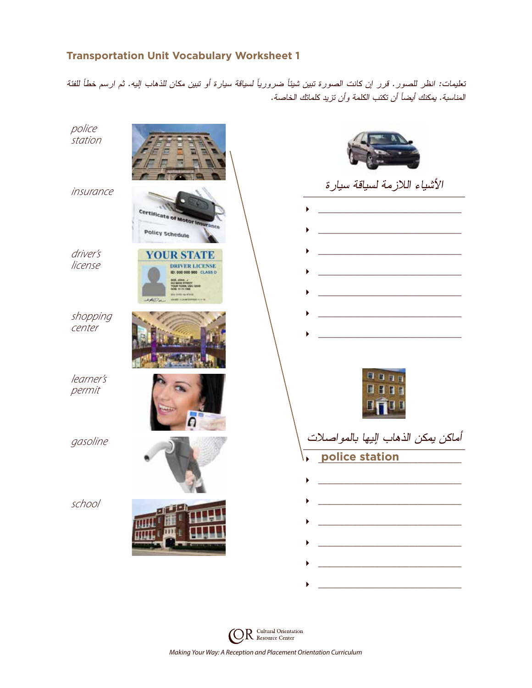## **Transportation Unit Vocabulary Worksheet 1**

تعليمات: انظر للصور. قرر إن كانت الصورة تبين شيئًا ضروريًا لسياقة سيارة أو تبين مكان للذهاب إليه. ثم ارسم خطًا للفئة المناسبة. يمكنك أيضًا أن تكتب الكلمة وأن تزيد كلماتك الخاصة.



R Cultural Orientation *Making Your Way: A Reception and Placement Orientation Curriculum*